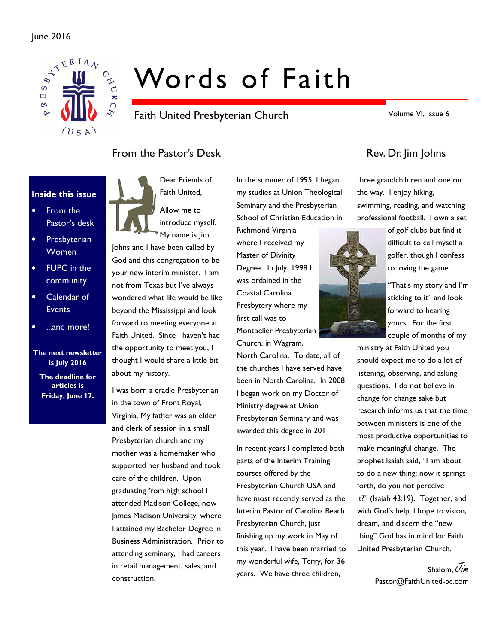

# Words of Faith

Faith United Presbyterian Church

Volume VI, Issue 6

# From the Pastor's Desk Rev. Dr. Jim Johns

#### Inside this issue

- From the Pastor's desk
- Presbyterian **Women**
- FUPC in the community
- Calendar of **Events**
- ...and more!

The next newsletter is July 2016 The deadline for articles is Friday, June 17.



Dear Friends of Faith United, Allow me to

introduce myself. My name is Jim

Johns and I have been called by God and this congregation to be your new interim minister. I am not from Texas but I've always wondered what life would be like beyond the Mississippi and look forward to meeting everyone at Faith United. Since I haven't had the opportunity to meet you, I thought I would share a little bit about my history.

I was born a cradle Presbyterian in the town of Front Royal, Virginia. My father was an elder and clerk of session in a small Presbyterian church and my mother was a homemaker who supported her husband and took care of the children. Upon graduating from high school I attended Madison College, now James Madison University, where I attained my Bachelor Degree in Business Administration. Prior to attending seminary, I had careers in retail management, sales, and construction.

In the summer of 1995, I began my studies at Union Theological Seminary and the Presbyterian School of Christian Education in

Richmond Virginia where I received my Master of Divinity Degree. In July, 1998 I was ordained in the Coastal Carolina Presbytery where my first call was to Montpelier Presbyterian Church, in Wagram,

North Carolina. To date, all of the churches I have served have been in North Carolina. In 2008 I began work on my Doctor of Ministry degree at Union Presbyterian Seminary and was awarded this degree in 2011.

In recent years I completed both parts of the Interim Training courses offered by the Presbyterian Church USA and have most recently served as the Interim Pastor of Carolina Beach Presbyterian Church, just finishing up my work in May of this year. I have been married to my wonderful wife, Terry, for 36 years. We have three children,

three grandchildren and one on the way. I enjoy hiking, swimming, reading, and watching professional football. I own a set



"That's my story and I'm sticking to it" and look forward to hearing yours. For the first couple of months of my

ministry at Faith United you should expect me to do a lot of listening, observing, and asking questions. I do not believe in change for change sake but research informs us that the time between ministers is one of the most productive opportunities to make meaningful change. The prophet Isaiah said, "I am about to do a new thing; now it springs forth, do you not perceive it?" (Isaiah 43:19). Together, and with God's help, I hope to vision, dream, and discern the "new thing" God has in mind for Faith United Presbyterian Church.

> Shalom, Uim Pastor@FaithUnited-pc.com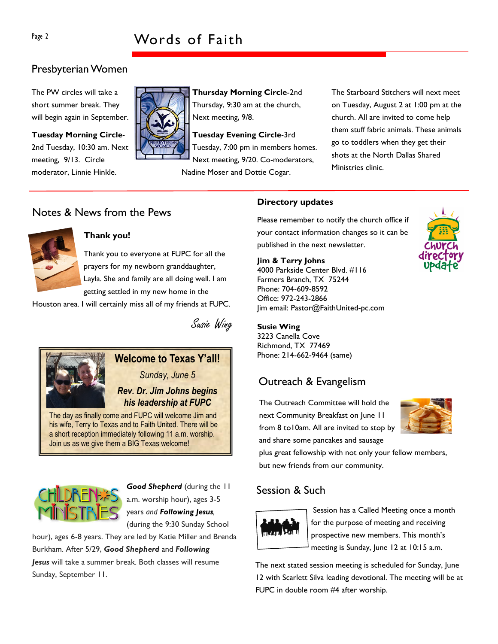# Presbyterian Women

The PW circles will take a short summer break. They will begin again in September.

Tuesday Morning Circle-2nd Tuesday, 10:30 am. Next meeting, 9/13. Circle moderator, Linnie Hinkle.



Thursday Morning Circle-2nd Thursday, 9:30 am at the church, Next meeting, 9/8.

Tuesday Evening Circle-3rd Tuesday, 7:00 pm in members homes. Next meeting, 9/20. Co-moderators, Nadine Moser and Dottie Cogar.

The Starboard Stitchers will next meet on Tuesday, August 2 at 1:00 pm at the church. All are invited to come help them stuff fabric animals. These animals go to toddlers when they get their shots at the North Dallas Shared Ministries clinic.

# Notes & News from the Pews



#### Thank you!

Thank you to everyone at FUPC for all the prayers for my newborn granddaughter, Layla. She and family are all doing well. I am getting settled in my new home in the

Houston area. I will certainly miss all of my friends at FUPC.

Susie Wing



# Welcome to Texas Y'all!

Sunday, June 5

#### Rev. Dr. Jim Johns begins his leadership at FUPC

The day as finally come and FUPC will welcome Jim and his wife, Terry to Texas and to Faith United. There will be a short reception immediately following 11 a.m. worship. Join us as we give them a BIG Texas welcome!



Good Shepherd (during the 11 a.m. worship hour), ages 3-5 years and Following Jesus, (during the 9:30 Sunday School

hour), ages 6-8 years. They are led by Katie Miller and Brenda Burkham. After 5/29, Good Shepherd and Following Jesus will take a summer break. Both classes will resume Sunday, September 11.

#### Directory updates

Please remember to notify the church office if your contact information changes so it can be published in the next newsletter.

Jim & Terry Johns

4000 Parkside Center Blvd. #116 Farmers Branch, TX 75244 Phone: 704-609-8592 Office: 972-243-2866 Jim email: Pastor@FaithUnited-pc.com

#### Susie Wing

3223 Canella Cove Richmond, TX 77469 Phone: 214-662-9464 (same)

# Outreach & Evangelism

The Outreach Committee will hold the next Community Breakfast on June 11 from 8 to10am. All are invited to stop by and share some pancakes and sausage



plus great fellowship with not only your fellow members, but new friends from our community.

# Session & Such



Session has a Called Meeting once a month for the purpose of meeting and receiving prospective new members. This month's meeting is Sunday, June 12 at 10:15 a.m.

The next stated session meeting is scheduled for Sunday, June 12 with Scarlett Silva leading devotional. The meeting will be at FUPC in double room #4 after worship.

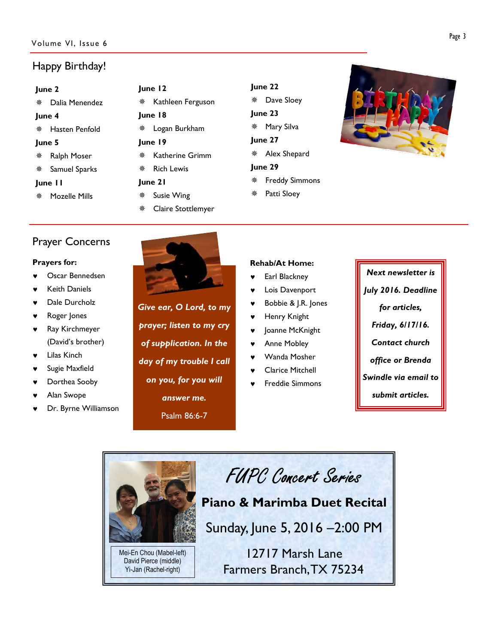# Happy Birthday!

| June 2  |                                |   |  |  |
|---------|--------------------------------|---|--|--|
| ※       | Dalia Menendez                 | 楽 |  |  |
| June 4  |                                |   |  |  |
|         | ※ Hasten Penfold               | 豢 |  |  |
| June 5  |                                |   |  |  |
| *       | Ralph Moser                    | 楽 |  |  |
|         | <i></i> <b>*</b> Samuel Sparks | 楽 |  |  |
| June II |                                |   |  |  |
|         | <b>※ Mozelle Mills</b>         | 凿 |  |  |
|         |                                |   |  |  |

| June 12 |                                |  |  |  |  |  |
|---------|--------------------------------|--|--|--|--|--|
|         | * Kathleen Ferguson            |  |  |  |  |  |
| June 18 |                                |  |  |  |  |  |
|         | <i></i> <b>*</b> Logan Burkham |  |  |  |  |  |
| lune 19 |                                |  |  |  |  |  |
|         | * Katherine Grimm              |  |  |  |  |  |
|         | ※ Rich Lewis                   |  |  |  |  |  |
| June 21 |                                |  |  |  |  |  |
|         | * Susie Wing                   |  |  |  |  |  |
|         |                                |  |  |  |  |  |

Claire Stottlemyer

| June 22 |                         |  |  |  |  |  |
|---------|-------------------------|--|--|--|--|--|
|         | ※ Dave Sloey            |  |  |  |  |  |
|         | June 23                 |  |  |  |  |  |
|         | ※ Mary Silva            |  |  |  |  |  |
| June 27 |                         |  |  |  |  |  |
|         | * Alex Shepard          |  |  |  |  |  |
| June 29 |                         |  |  |  |  |  |
|         | <b>※</b> Freddy Simmons |  |  |  |  |  |
|         | * Patti Sloey           |  |  |  |  |  |
|         |                         |  |  |  |  |  |



# Prayer Concerns

#### Prayers for:

- Oscar Bennedsen
- **Keith Daniels**
- Dale Durcholz
- Roger Jones
- Ray Kirchmeyer (David's brother)
- Lilas Kinch
- Sugie Maxfield
- Dorthea Sooby
- Alan Swope
- Dr. Byrne Williamson



Give ear, O Lord, to my prayer; listen to my cry of supplication. In the day of my trouble I call on you, for you will answer me. Psalm 86:6-7

#### Rehab/At Home:

- Earl Blackney
- Lois Davenport
- Bobbie & J.R. Jones
- Henry Knight
- Joanne McKnight
- Anne Mobley
- Wanda Mosher
- **Clarice Mitchell**
- Freddie Simmons

Next newsletter is July 2016. Deadline for articles, Friday, 6/17/16. Contact church office or Brenda Swindle via email to submit articles.